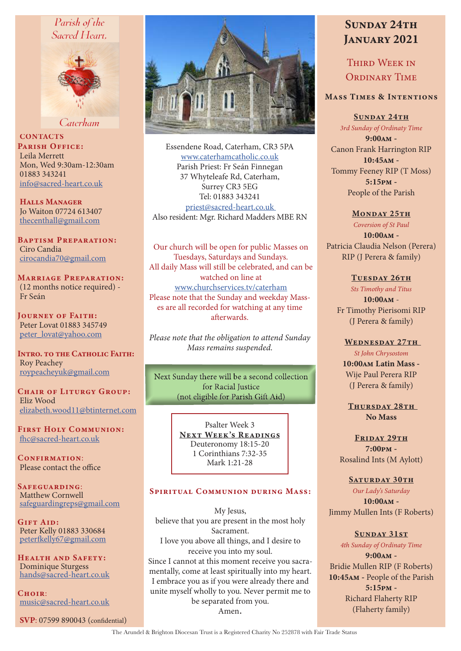# Parish of the Sacred Heart,



Caterham

**CONTACTS** PARISH OFFICE: Leila Merrett Mon, Wed 9:30am-12:30am 01883 343241 info@sacred-heart.co.uk

Halls Manager Jo Waiton 07724 613407 thecenthall@gmail.com

Baptism Preparation: Ciro Candia cirocandia70@gmail.com

Marriage Preparation: (12 months notice required) - Fr Seán

Journey of Faith: Peter Lovat 01883 345749 peter\_lovat@yahoo.com

INTRO. TO THE CATHOLIC FAITH: Roy Peachey roypeacheyuk@gmail.com

CHAIR OF LITURGY GROUP: Eliz Wood elizabeth.wood11@btinternet.com

First Holy Communion: fhc@sacred-heart.co.uk

CONFIRMATION: Please contact the office

Safeguarding: Matthew Cornwell safeguardingreps@gmail.com

Gift Aid: Peter Kelly 01883 330684 peterfkelly67@gmail.com

Health and Safety: Dominique Sturgess hands@sacred-heart.co.uk

 $C$ HOIR $\cdot$ music@sacred-heart.co.uk

SVP: 07599 890043 (confidential)



Essendene Road, Caterham, CR3 5PA www.caterhamcatholic.co.uk Parish Priest: Fr Seán Finnegan 37 Whyteleafe Rd, Caterham, Surrey CR3 5EG Tel: 01883 343241 priest@sacred-heart.co.uk Also resident: Mgr. Richard Madders MBE RN

Our church will be open for public Masses on Tuesdays, Saturdays and Sundays. All daily Mass will still be celebrated, and can be watched on line at www.churchservices.tv/caterham Please note that the Sunday and weekday Masses are all recorded for watching at any time afterwards.

*Please note that the obligation to attend Sunday Mass remains suspended.*

Next Sunday there will be a second collection for Racial Iustice (not eligible for Parish Gift Aid)

> Psalter Week 3 NEXT WEEK'S READINGS Deuteronomy 18:15-20 1 Corinthians 7:32-35 Mark 1:21-28

#### Spiritual Communion during Mass:

My Jesus, believe that you are present in the most holy Sacrament. I love you above all things, and I desire to receive you into my soul. Since I cannot at this moment receive you sacramentally, come at least spiritually into my heart. I embrace you as if you were already there and unite myself wholly to you. Never permit me to be separated from you. Amen.

# SUNDAY 24TH JANUARY 2021

Third Week in ORDINARY TIME

### Mass Times & Intentions

SUNDAY 24TH

*3rd Sunday of Ordinaty Time* 9:00am - Canon Frank Harrington RIP 10:45am - Tommy Feeney RIP (T Moss) 5:15pm - People of the Parish

#### MONDAY 25TH

*Coversion of St Paul* 10:00am - Patricia Claudia Nelson (Perera) RIP (J Perera & family)

#### TUESDAY 26TH

*Sts Timothy and Titus* 10:00am - Fr Timothy Pierisomi RIP (J Perera & family)

WEDNESDAY 27TH *St John Chrysostom* 10:00am Latin Mass -

Wije Paul Perera RIP (J Perera & family)

THURSDAY 28TH No Mass

FRIDAY 29TH 7:00pm - Rosalind Ints (M Aylott)

#### SATURDAY 30TH

*Our Lady's Saturday* 10:00am - Jimmy Mullen Ints (F Roberts)

> Sunday 31st *4th Sunday of Ordinaty Time*

9:00am - Bridie Mullen RIP (F Roberts) 10:45am - People of the Parish 5:15pm - Richard Flaherty RIP (Flaherty family)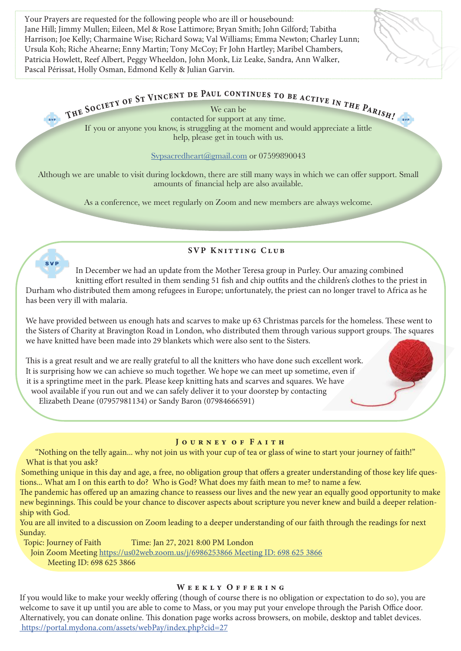Your Prayers are requested for the following people who are ill or housebound: Jane Hill; Jimmy Mullen; Eileen, Mel & Rose Lattimore; Bryan Smith; John Gilford; Tabitha Harrison; Joe Kelly; Charmaine Wise; Richard Sowa; Val Williams; Emma Newton; Charley Lunn; Ursula Koh; Riche Ahearne; Enny Martin; Tony McCoy; Fr John Hartley; Maribel Chambers, Patricia Howlett, Reef Albert, Peggy Wheeldon, John Monk, Liz Leake, Sandra, Ann Walker, Pascal Périssat, Holly Osman, Edmond Kelly & Julian Garvin.

We can be

THE SOCIETY OF ST VINCENT DE PAUL CONTINUES TO BE ACTIVE IN THE PARISH!<br>
contacted for support at any time. If you or anyone you know, is struggling at the moment and would appreciate a little help, please get in touch with us.

Svpsacredheart@gmail.com or 07599890043

Although we are unable to visit during lockdown, there are still many ways in which we can offer support. Small amounts of financial help are also available.

As a conference, we meet regularly on Zoom and new members are always welcome.

SVP Knitting Club

**SVP** In December we had an update from the Mother Teresa group in Purley. Our amazing combined knitting effort resulted in them sending 51 fish and chip outfits and the children's clothes to the priest in Durham who distributed them among refugees in Europe; unfortunately, the priest can no longer travel to Africa as he

has been very ill with malaria.

We have provided between us enough hats and scarves to make up 63 Christmas parcels for the homeless. These went to the Sisters of Charity at Bravington Road in London, who distributed them through various support groups. The squares we have knitted have been made into 29 blankets which were also sent to the Sisters.

This is a great result and we are really grateful to all the knitters who have done such excellent work. It is surprising how we can achieve so much together. We hope we can meet up sometime, even if it is a springtime meet in the park. Please keep knitting hats and scarves and squares. We have wool available if you run out and we can safely deliver it to your doorstep by contacting

Elizabeth Deane (07957981134) or Sandy Baron (07984666591)

### JOURNEY OF FAITH

"Nothing on the telly again... why not join us with your cup of tea or glass of wine to start your journey of faith!" What is that you ask?

Something unique in this day and age, a free, no obligation group that offers a greater understanding of those key life questions... What am I on this earth to do? Who is God? What does my faith mean to me? to name a few.

The pandemic has offered up an amazing chance to reassess our lives and the new year an equally good opportunity to make new beginnings. This could be your chance to discover aspects about scripture you never knew and build a deeper relationship with God.

You are all invited to a discussion on Zoom leading to a deeper understanding of our faith through the readings for next Sunday.

Topic: Journey of Faith Time: Jan 27, 2021 8:00 PM London

Join Zoom Meeting https://us02web.zoom.us/j/6986253866 Meeting ID: 698 625 3866

Meeting ID: 698 625 3866

# WEEKLY OFFERING

If you would like to make your weekly offering (though of course there is no obligation or expectation to do so), you are welcome to save it up until you are able to come to Mass, or you may put your envelope through the Parish Office door. Alternatively, you can donate online. This donation page works across browsers, on mobile, desktop and tablet devices. https://portal.mydona.com/assets/webPay/index.php?cid=27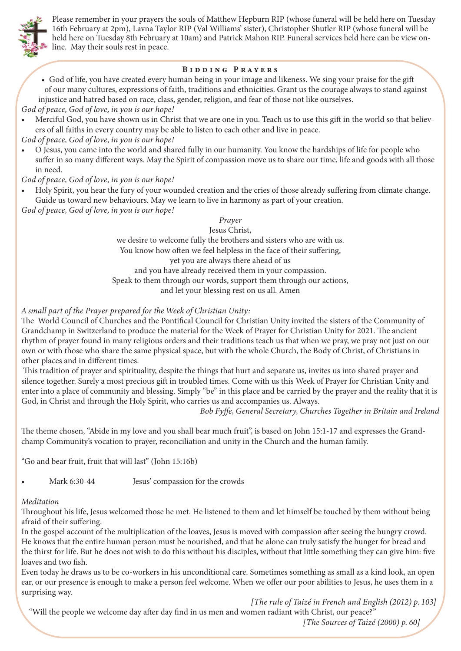

Please remember in your prayers the souls of Matthew Hepburn RIP (whose funeral will be held here on Tuesday 16th February at 2pm), Lavna Taylor RIP (Val Williams' sister), Christopher Shutler RIP (whose funeral will be held here on Tuesday 8th February at 10am) and Patrick Mahon RIP. Funeral services held here can be view online. May their souls rest in peace.

#### Bidding Prayers

• God of life, you have created every human being in your image and likeness. We sing your praise for the gift of our many cultures, expressions of faith, traditions and ethnicities. Grant us the courage always to stand against injustice and hatred based on race, class, gender, religion, and fear of those not like ourselves.

*God of peace, God of love, in you is our hope!*

• Merciful God, you have shown us in Christ that we are one in you. Teach us to use this gift in the world so that believers of all faiths in every country may be able to listen to each other and live in peace.

*God of peace, God of love, in you is our hope!*

• O Jesus, you came into the world and shared fully in our humanity. You know the hardships of life for people who suffer in so many different ways. May the Spirit of compassion move us to share our time, life and goods with all those in need.

### *God of peace, God of love, in you is our hope!*

• Holy Spirit, you hear the fury of your wounded creation and the cries of those already suffering from climate change. Guide us toward new behaviours. May we learn to live in harmony as part of your creation.

*God of peace, God of love, in you is our hope!*

#### *Prayer*

Jesus Christ, we desire to welcome fully the brothers and sisters who are with us. You know how often we feel helpless in the face of their suffering, yet you are always there ahead of us and you have already received them in your compassion. Speak to them through our words, support them through our actions, and let your blessing rest on us all. Amen

#### *A small part of the Prayer prepared for the Week of Christian Unity:*

The World Council of Churches and the Pontifical Council for Christian Unity invited the sisters of the Community of Grandchamp in Switzerland to produce the material for the Week of Prayer for Christian Unity for 2021. The ancient rhythm of prayer found in many religious orders and their traditions teach us that when we pray, we pray not just on our own or with those who share the same physical space, but with the whole Church, the Body of Christ, of Christians in other places and in different times.

 This tradition of prayer and spirituality, despite the things that hurt and separate us, invites us into shared prayer and silence together. Surely a most precious gift in troubled times. Come with us this Week of Prayer for Christian Unity and enter into a place of community and blessing. Simply "be" in this place and be carried by the prayer and the reality that it is God, in Christ and through the Holy Spirit, who carries us and accompanies us. Always.

*Bob Fyffe, General Secretary, Churches Together in Britain and Ireland*

The theme chosen, "Abide in my love and you shall bear much fruit", is based on John 15:1-17 and expresses the Grandchamp Community's vocation to prayer, reconciliation and unity in the Church and the human family.

"Go and bear fruit, fruit that will last" (John 15:16b)

• Mark 6:30-44 Jesus' compassion for the crowds

#### *Meditation*

Throughout his life, Jesus welcomed those he met. He listened to them and let himself be touched by them without being afraid of their suffering.

In the gospel account of the multiplication of the loaves, Jesus is moved with compassion after seeing the hungry crowd. He knows that the entire human person must be nourished, and that he alone can truly satisfy the hunger for bread and the thirst for life. But he does not wish to do this without his disciples, without that little something they can give him: five loaves and two fish.

Even today he draws us to be co-workers in his unconditional care. Sometimes something as small as a kind look, an open ear, or our presence is enough to make a person feel welcome. When we offer our poor abilities to Jesus, he uses them in a surprising way.

*[The rule of Taizé in French and English (2012) p. 103]*

"Will the people we welcome day after day find in us men and women radiant with Christ, our peace?"

*[The Sources of Taizé (2000) p. 60]*